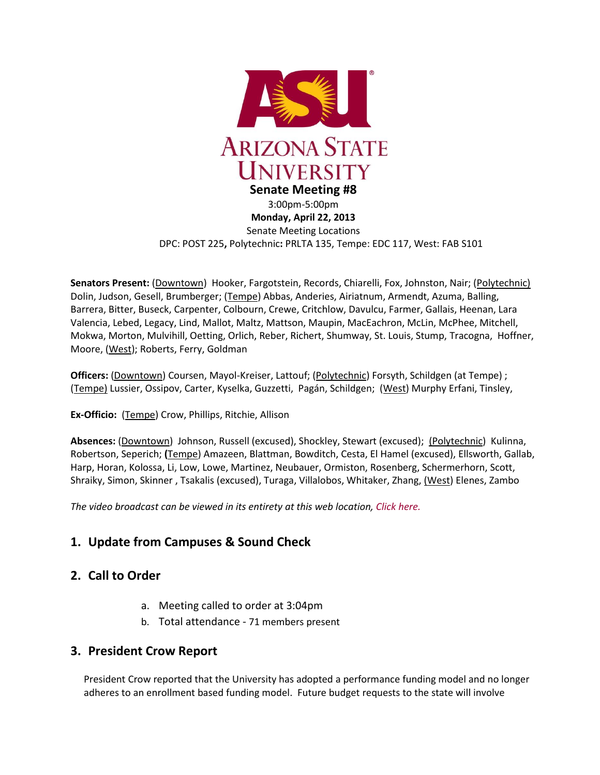

**Monday, April 22, 2013** Senate Meeting Locations DPC: POST 225**,** Polytechnic**:** PRLTA 135, Tempe: EDC 117, West: FAB S101

**Senators Present:** (Downtown) Hooker, Fargotstein, Records, Chiarelli, Fox, Johnston, Nair; (Polytechnic) Dolin, Judson, Gesell, Brumberger; (Tempe) Abbas, Anderies, Airiatnum, Armendt, Azuma, Balling, Barrera, Bitter, Buseck, Carpenter, Colbourn, Crewe, Critchlow, Davulcu, Farmer, Gallais, Heenan, Lara Valencia, Lebed, Legacy, Lind, Mallot, Maltz, Mattson, Maupin, MacEachron, McLin, McPhee, Mitchell, Mokwa, Morton, Mulvihill, Oetting, Orlich, Reber, Richert, Shumway, St. Louis, Stump, Tracogna, Hoffner, Moore, (West); Roberts, Ferry, Goldman

**Officers:** (Downtown) Coursen, Mayol-Kreiser, Lattouf; (Polytechnic) Forsyth, Schildgen (at Tempe) ; (Tempe) Lussier, Ossipov, Carter, Kyselka, Guzzetti, Pagán, Schildgen; (West) Murphy Erfani, Tinsley,

**Ex-Officio:** (Tempe) Crow, Phillips, Ritchie, Allison

**Absences:** (Downtown) Johnson, Russell (excused), Shockley, Stewart (excused); (Polytechnic) Kulinna, Robertson, Seperich; **(**Tempe) Amazeen, Blattman, Bowditch, Cesta, El Hamel (excused), Ellsworth, Gallab, Harp, Horan, Kolossa, Li, Low, Lowe, Martinez, Neubauer, Ormiston, Rosenberg, Schermerhorn, Scott, Shraiky, Simon, Skinner , Tsakalis (excused), Turaga, Villalobos, Whitaker, Zhang, (West) Elenes, Zambo

*The video broadcast can be viewed in its entirety at this web location[, Click here.](http://usenate.asu.edu/videos)*

# **1. Update from Campuses & Sound Check**

## **2. Call to Order**

- a. Meeting called to order at 3:04pm
- b. Total attendance 71 members present

## **3. President Crow Report**

President Crow reported that the University has adopted a performance funding model and no longer adheres to an enrollment based funding model. Future budget requests to the state will involve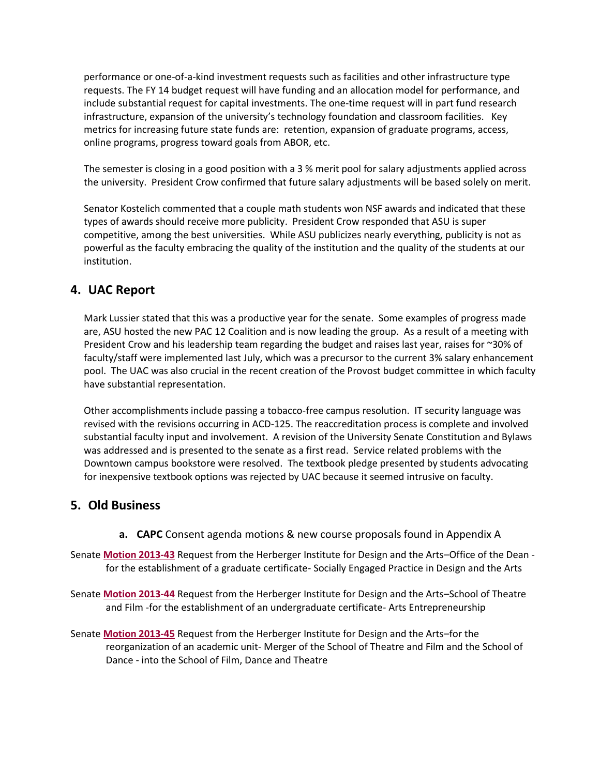performance or one-of-a-kind investment requests such as facilities and other infrastructure type requests. The FY 14 budget request will have funding and an allocation model for performance, and include substantial request for capital investments. The one-time request will in part fund research infrastructure, expansion of the university's technology foundation and classroom facilities. Key metrics for increasing future state funds are: retention, expansion of graduate programs, access, online programs, progress toward goals from ABOR, etc.

The semester is closing in a good position with a 3 % merit pool for salary adjustments applied across the university. President Crow confirmed that future salary adjustments will be based solely on merit.

Senator Kostelich commented that a couple math students won NSF awards and indicated that these types of awards should receive more publicity. President Crow responded that ASU is super competitive, among the best universities. While ASU publicizes nearly everything, publicity is not as powerful as the faculty embracing the quality of the institution and the quality of the students at our institution.

# **4. UAC Report**

Mark Lussier stated that this was a productive year for the senate. Some examples of progress made are, ASU hosted the new PAC 12 Coalition and is now leading the group. As a result of a meeting with President Crow and his leadership team regarding the budget and raises last year, raises for ~30% of faculty/staff were implemented last July, which was a precursor to the current 3% salary enhancement pool. The UAC was also crucial in the recent creation of the Provost budget committee in which faculty have substantial representation.

Other accomplishments include passing a tobacco-free campus resolution. IT security language was revised with the revisions occurring in ACD-125. The reaccreditation process is complete and involved substantial faculty input and involvement. A revision of the University Senate Constitution and Bylaws was addressed and is presented to the senate as a first read. Service related problems with the Downtown campus bookstore were resolved. The textbook pledge presented by students advocating for inexpensive textbook options was rejected by UAC because it seemed intrusive on faculty.

# **5. Old Business**

**a. CAPC** Consent agenda motions & new course proposals found in Appendix A

Senate **[Motion 2013-43](http://usenate.asu.edu/node/4512)** Request from the Herberger Institute for Design and the Arts–Office of the Dean for the establishment of a graduate certificate- Socially Engaged Practice in Design and the Arts

- Senate **[Motion 2013-44](http://usenate.asu.edu/node/4513)** Request from the Herberger Institute for Design and the Arts–School of Theatre and Film -for the establishment of an undergraduate certificate- Arts Entrepreneurship
- Senate **[Motion 2013-45](http://usenate.asu.edu/node/4514)** Request from the Herberger Institute for Design and the Arts–for the reorganization of an academic unit- Merger of the School of Theatre and Film and the School of Dance - into the School of Film, Dance and Theatre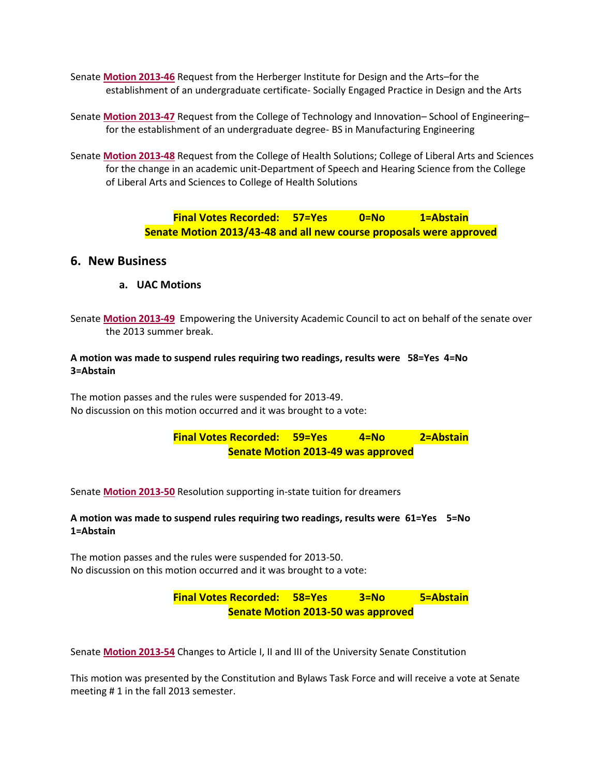- Senate **[Motion 2013-46](http://usenate.asu.edu/node/4515)** Request from the Herberger Institute for Design and the Arts–for the establishment of an undergraduate certificate- Socially Engaged Practice in Design and the Arts
- Senate **[Motion 2013-47](http://usenate.asu.edu/node/4516)** Request from the College of Technology and Innovation– School of Engineering– for the establishment of an undergraduate degree- BS in Manufacturing Engineering
- Senate **[Motion 2013-48](http://usenate.asu.edu/node/4517)** Request from the College of Health Solutions; College of Liberal Arts and Sciences for the change in an academic unit-Department of Speech and Hearing Science from the College of Liberal Arts and Sciences to College of Health Solutions

**Final Votes Recorded: 57=Yes 0=No 1=Abstain Senate Motion 2013/43-48 and all new course proposals were approved**

### **6. New Business**

**a. UAC Motions** 

Senate **[Motion 2013-49](http://usenate.asu.edu/node/4525)** Empowering the University Academic Council to act on behalf of the senate over the 2013 summer break.

#### **A motion was made to suspend rules requiring two readings, results were 58=Yes 4=No 3=Abstain**

The motion passes and the rules were suspended for 2013-49. No discussion on this motion occurred and it was brought to a vote:

> **Final Votes Recorded: 59=Yes 4=No 2=Abstain Senate Motion 2013-49 was approved**

Senate **[Motion 2013-50](http://usenate.asu.edu/node/4526)** Resolution supporting in-state tuition for dreamers

#### **A motion was made to suspend rules requiring two readings, results were 61=Yes 5=No 1=Abstain**

The motion passes and the rules were suspended for 2013-50. No discussion on this motion occurred and it was brought to a vote:

> **Final Votes Recorded: 58=Yes 3=No 5=Abstain Senate Motion 2013-50 was approved**

Senate **Motion [2013-54](http://usenate.asu.edu/node/4532)** Changes to Article I, II and III of the University Senate Constitution

This motion was presented by the Constitution and Bylaws Task Force and will receive a vote at Senate meeting # 1 in the fall 2013 semester.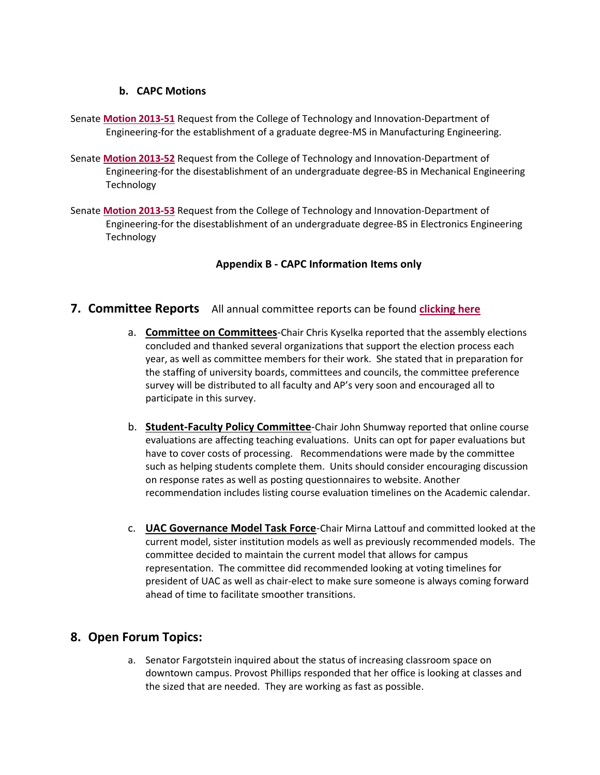### **b. CAPC Motions**

- Senate **[Motion 2013-51](http://usenate.asu.edu/node/4529)** Request from the College of Technology and Innovation-Department of Engineering-for the establishment of a graduate degree-MS in Manufacturing Engineering.
- Senate **[Motion 2013-52](http://usenate.asu.edu/node/4528)** Request from the College of Technology and Innovation-Department of Engineering-for the disestablishment of an undergraduate degree-BS in Mechanical Engineering **Technology**
- Senate **[Motion 2013-53](http://usenate.asu.edu/node/4527)** Request from the College of Technology and Innovation-Department of Engineering-for the disestablishment of an undergraduate degree-BS in Electronics Engineering **Technology**

### **Appendix B - CAPC Information Items only**

## **7. Committee Reports** All annual committee reports can be found **[clicking here](http://usenate.asu.edu/annualreport)**

- a. **Committee on Committees**-Chair Chris Kyselka reported that the assembly elections concluded and thanked several organizations that support the election process each year, as well as committee members for their work. She stated that in preparation for the staffing of university boards, committees and councils, the committee preference survey will be distributed to all faculty and AP's very soon and encouraged all to participate in this survey.
- b. **Student-Faculty Policy Committee**-Chair John Shumway reported that online course evaluations are affecting teaching evaluations. Units can opt for paper evaluations but have to cover costs of processing. Recommendations were made by the committee such as helping students complete them. Units should consider encouraging discussion on response rates as well as posting questionnaires to website. Another recommendation includes listing course evaluation timelines on the Academic calendar.
- c. **UAC Governance Model Task Force**-Chair Mirna Lattouf and committed looked at the current model, sister institution models as well as previously recommended models. The committee decided to maintain the current model that allows for campus representation. The committee did recommended looking at voting timelines for president of UAC as well as chair-elect to make sure someone is always coming forward ahead of time to facilitate smoother transitions.

## **8. Open Forum Topics:**

a. Senator Fargotstein inquired about the status of increasing classroom space on downtown campus. Provost Phillips responded that her office is looking at classes and the sized that are needed. They are working as fast as possible.